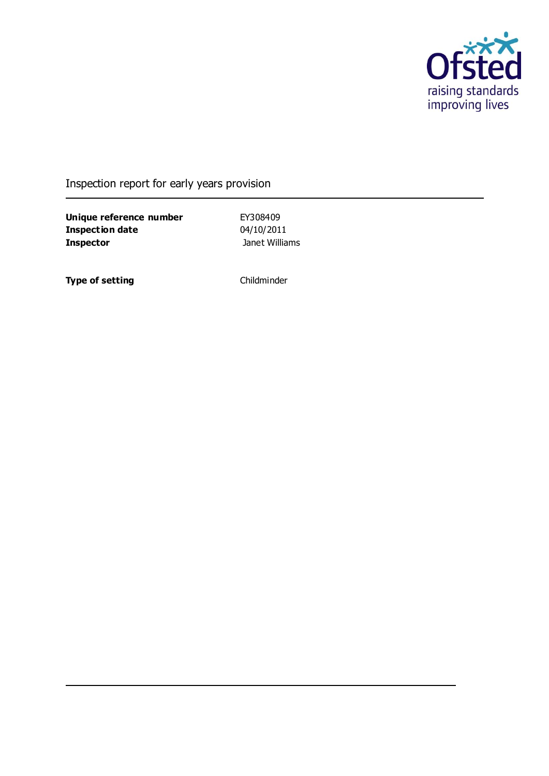

# Inspection report for early years provision

**Unique reference number** EY308409<br> **Inspection date** 04/10/2011 **Inspection date Inspector Inspector Janet Williams** 

**Type of setting** Childminder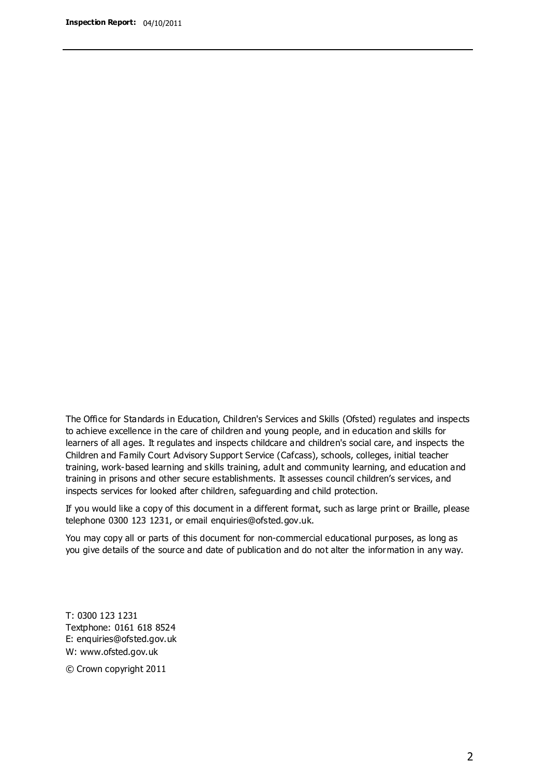The Office for Standards in Education, Children's Services and Skills (Ofsted) regulates and inspects to achieve excellence in the care of children and young people, and in education and skills for learners of all ages. It regulates and inspects childcare and children's social care, and inspects the Children and Family Court Advisory Support Service (Cafcass), schools, colleges, initial teacher training, work-based learning and skills training, adult and community learning, and education and training in prisons and other secure establishments. It assesses council children's services, and inspects services for looked after children, safeguarding and child protection.

If you would like a copy of this document in a different format, such as large print or Braille, please telephone 0300 123 1231, or email enquiries@ofsted.gov.uk.

You may copy all or parts of this document for non-commercial educational purposes, as long as you give details of the source and date of publication and do not alter the information in any way.

T: 0300 123 1231 Textphone: 0161 618 8524 E: enquiries@ofsted.gov.uk W: [www.ofsted.gov.uk](http://www.ofsted.gov.uk/)

© Crown copyright 2011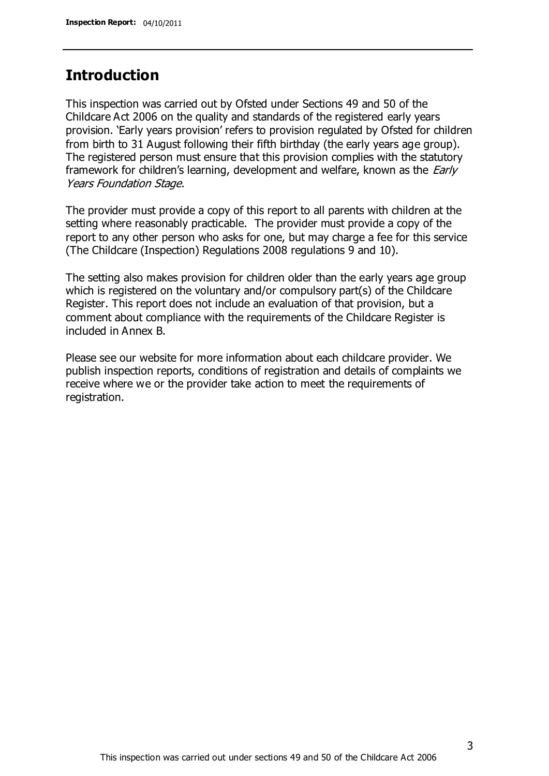### **Introduction**

This inspection was carried out by Ofsted under Sections 49 and 50 of the Childcare Act 2006 on the quality and standards of the registered early years provision. 'Early years provision' refers to provision regulated by Ofsted for children from birth to 31 August following their fifth birthday (the early years age group). The registered person must ensure that this provision complies with the statutory framework for children's learning, development and welfare, known as the *Early* Years Foundation Stage.

The provider must provide a copy of this report to all parents with children at the setting where reasonably practicable. The provider must provide a copy of the report to any other person who asks for one, but may charge a fee for this service (The Childcare (Inspection) Regulations 2008 regulations 9 and 10).

The setting also makes provision for children older than the early years age group which is registered on the voluntary and/or compulsory part(s) of the Childcare Register. This report does not include an evaluation of that provision, but a comment about compliance with the requirements of the Childcare Register is included in Annex B.

Please see our website for more information about each childcare provider. We publish inspection reports, conditions of registration and details of complaints we receive where we or the provider take action to meet the requirements of registration.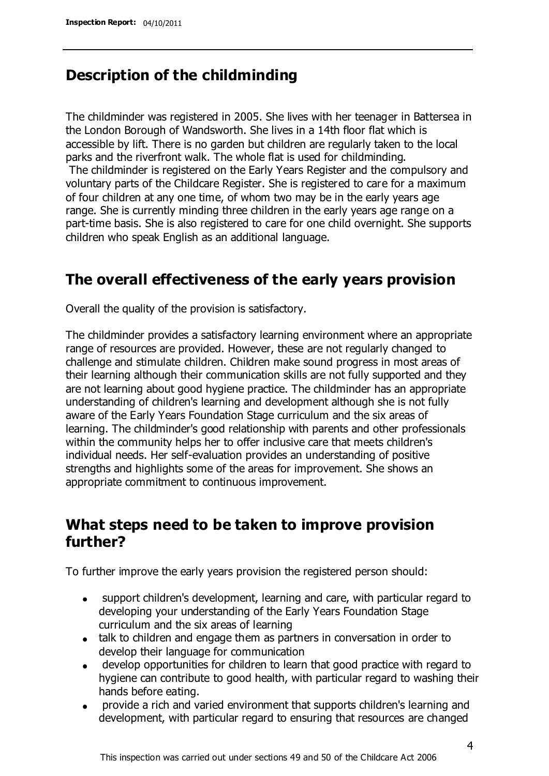### **Description of the childminding**

The childminder was registered in 2005. She lives with her teenager in Battersea in the London Borough of Wandsworth. She lives in a 14th floor flat which is accessible by lift. There is no garden but children are regularly taken to the local parks and the riverfront walk. The whole flat is used for childminding.

The childminder is registered on the Early Years Register and the compulsory and voluntary parts of the Childcare Register. She is registered to care for a maximum of four children at any one time, of whom two may be in the early years age range. She is currently minding three children in the early years age range on a part-time basis. She is also registered to care for one child overnight. She supports children who speak English as an additional language.

# **The overall effectiveness of the early years provision**

Overall the quality of the provision is satisfactory.

The childminder provides a satisfactory learning environment where an appropriate range of resources are provided. However, these are not regularly changed to challenge and stimulate children. Children make sound progress in most areas of their learning although their communication skills are not fully supported and they are not learning about good hygiene practice. The childminder has an appropriate understanding of children's learning and development although she is not fully aware of the Early Years Foundation Stage curriculum and the six areas of learning. The childminder's good relationship with parents and other professionals within the community helps her to offer inclusive care that meets children's individual needs. Her self-evaluation provides an understanding of positive strengths and highlights some of the areas for improvement. She shows an appropriate commitment to continuous improvement.

# **What steps need to be taken to improve provision further?**

To further improve the early years provision the registered person should:

- support children's development, learning and care, with particular regard to  $\bullet$ developing your understanding of the Early Years Foundation Stage curriculum and the six areas of learning
- talk to children and engage them as partners in conversation in order to develop their language for communication
- develop opportunities for children to learn that good practice with regard to hygiene can contribute to good health, with particular regard to washing their hands before eating.
- provide a rich and varied environment that supports children's learning and development, with particular regard to ensuring that resources are changed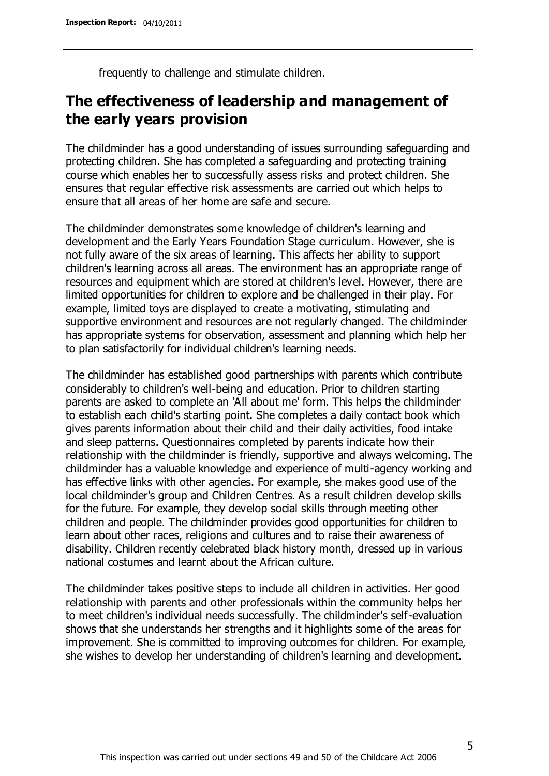frequently to challenge and stimulate children.

# **The effectiveness of leadership and management of the early years provision**

The childminder has a good understanding of issues surrounding safeguarding and protecting children. She has completed a safeguarding and protecting training course which enables her to successfully assess risks and protect children. She ensures that regular effective risk assessments are carried out which helps to ensure that all areas of her home are safe and secure.

The childminder demonstrates some knowledge of children's learning and development and the Early Years Foundation Stage curriculum. However, she is not fully aware of the six areas of learning. This affects her ability to support children's learning across all areas. The environment has an appropriate range of resources and equipment which are stored at children's level. However, there are limited opportunities for children to explore and be challenged in their play. For example, limited toys are displayed to create a motivating, stimulating and supportive environment and resources are not regularly changed. The childminder has appropriate systems for observation, assessment and planning which help her to plan satisfactorily for individual children's learning needs.

The childminder has established good partnerships with parents which contribute considerably to children's well-being and education. Prior to children starting parents are asked to complete an 'All about me' form. This helps the childminder to establish each child's starting point. She completes a daily contact book which gives parents information about their child and their daily activities, food intake and sleep patterns. Questionnaires completed by parents indicate how their relationship with the childminder is friendly, supportive and always welcoming. The childminder has a valuable knowledge and experience of multi-agency working and has effective links with other agencies. For example, she makes good use of the local childminder's group and Children Centres. As a result children develop skills for the future. For example, they develop social skills through meeting other children and people. The childminder provides good opportunities for children to learn about other races, religions and cultures and to raise their awareness of disability. Children recently celebrated black history month, dressed up in various national costumes and learnt about the African culture.

The childminder takes positive steps to include all children in activities. Her good relationship with parents and other professionals within the community helps her to meet children's individual needs successfully. The childminder's self-evaluation shows that she understands her strengths and it highlights some of the areas for improvement. She is committed to improving outcomes for children. For example, she wishes to develop her understanding of children's learning and development.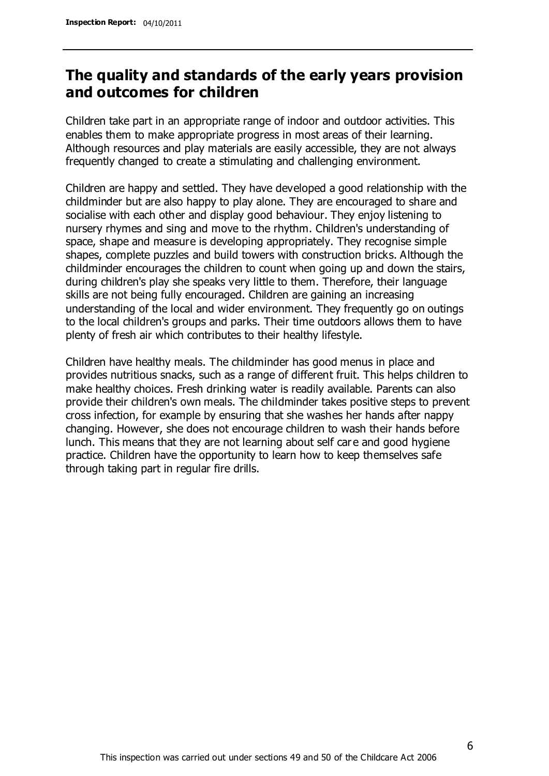# **The quality and standards of the early years provision and outcomes for children**

Children take part in an appropriate range of indoor and outdoor activities. This enables them to make appropriate progress in most areas of their learning. Although resources and play materials are easily accessible, they are not always frequently changed to create a stimulating and challenging environment.

Children are happy and settled. They have developed a good relationship with the childminder but are also happy to play alone. They are encouraged to share and socialise with each other and display good behaviour. They enjoy listening to nursery rhymes and sing and move to the rhythm. Children's understanding of space, shape and measure is developing appropriately. They recognise simple shapes, complete puzzles and build towers with construction bricks. Although the childminder encourages the children to count when going up and down the stairs, during children's play she speaks very little to them. Therefore, their language skills are not being fully encouraged. Children are gaining an increasing understanding of the local and wider environment. They frequently go on outings to the local children's groups and parks. Their time outdoors allows them to have plenty of fresh air which contributes to their healthy lifestyle.

Children have healthy meals. The childminder has good menus in place and provides nutritious snacks, such as a range of different fruit. This helps children to make healthy choices. Fresh drinking water is readily available. Parents can also provide their children's own meals. The childminder takes positive steps to prevent cross infection, for example by ensuring that she washes her hands after nappy changing. However, she does not encourage children to wash their hands before lunch. This means that they are not learning about self car e and good hygiene practice. Children have the opportunity to learn how to keep themselves safe through taking part in regular fire drills.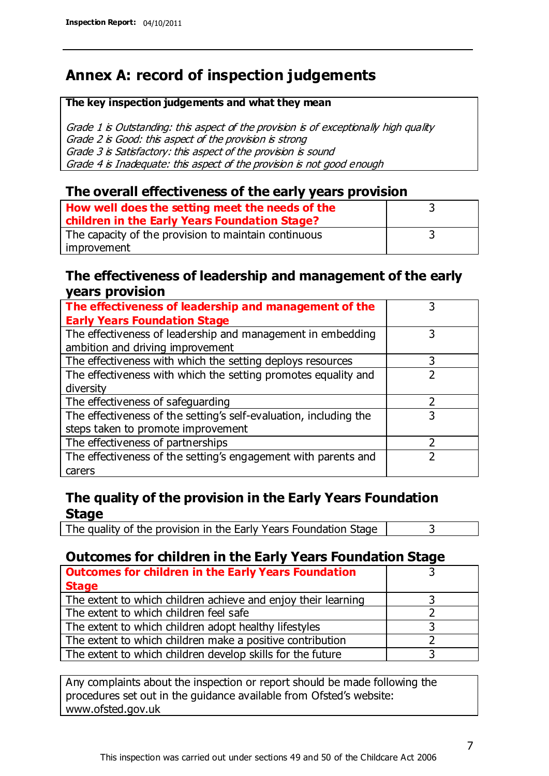# **Annex A: record of inspection judgements**

#### **The key inspection judgements and what they mean**

Grade 1 is Outstanding: this aspect of the provision is of exceptionally high quality Grade 2 is Good: this aspect of the provision is strong Grade 3 is Satisfactory: this aspect of the provision is sound Grade 4 is Inadequate: this aspect of the provision is not good enough

#### **The overall effectiveness of the early years provision**

| How well does the setting meet the needs of the<br>children in the Early Years Foundation Stage? |  |
|--------------------------------------------------------------------------------------------------|--|
| The capacity of the provision to maintain continuous                                             |  |
| improvement                                                                                      |  |

#### **The effectiveness of leadership and management of the early years provision**

| The effectiveness of leadership and management of the             |   |
|-------------------------------------------------------------------|---|
| <b>Early Years Foundation Stage</b>                               |   |
| The effectiveness of leadership and management in embedding       |   |
| ambition and driving improvement                                  |   |
| The effectiveness with which the setting deploys resources        |   |
| The effectiveness with which the setting promotes equality and    |   |
| diversity                                                         |   |
| The effectiveness of safeguarding                                 |   |
| The effectiveness of the setting's self-evaluation, including the | 3 |
| steps taken to promote improvement                                |   |
| The effectiveness of partnerships                                 |   |
| The effectiveness of the setting's engagement with parents and    |   |
| carers                                                            |   |

### **The quality of the provision in the Early Years Foundation Stage**

The quality of the provision in the Early Years Foundation Stage  $\vert$  3

### **Outcomes for children in the Early Years Foundation Stage**

| <b>Outcomes for children in the Early Years Foundation</b>    |  |
|---------------------------------------------------------------|--|
| <b>Stage</b>                                                  |  |
| The extent to which children achieve and enjoy their learning |  |
| The extent to which children feel safe                        |  |
| The extent to which children adopt healthy lifestyles         |  |
| The extent to which children make a positive contribution     |  |
| The extent to which children develop skills for the future    |  |

Any complaints about the inspection or report should be made following the procedures set out in the guidance available from Ofsted's website: www.ofsted.gov.uk